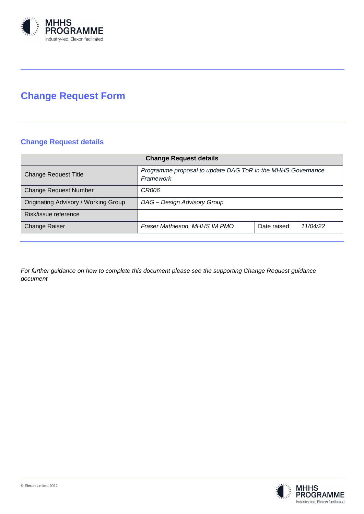

# **Change Request Form**

# **Change Request details**

| <b>Change Request details</b>                                            |              |          |  |
|--------------------------------------------------------------------------|--------------|----------|--|
| Programme proposal to update DAG ToR in the MHHS Governance<br>Framework |              |          |  |
| CR006                                                                    |              |          |  |
| DAG - Design Advisory Group                                              |              |          |  |
|                                                                          |              |          |  |
| Fraser Mathieson, MHHS IM PMO                                            | Date raised: | 11/04/22 |  |
|                                                                          |              |          |  |

*For further guidance on how to complete this document please see the supporting Change Request guidance document*

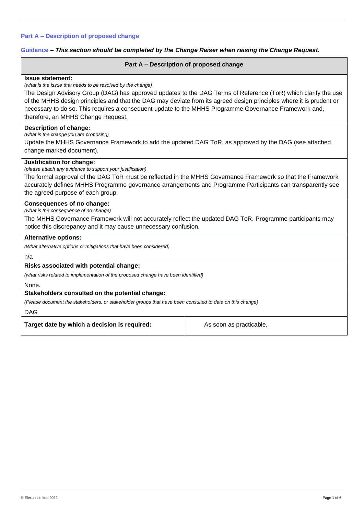# **Part A – Description of proposed change**

#### **Guidance** *– This section should be completed by the Change Raiser when raising the Change Request.*

#### **Part A – Description of proposed change**

#### **Issue statement:**

*(what is the issue that needs to be resolved by the change)*

The Design Advisory Group (DAG) has approved updates to the DAG Terms of Reference (ToR) which clarify the use of the MHHS design principles and that the DAG may deviate from its agreed design principles where it is prudent or necessary to do so. This requires a consequent update to the MHHS Programme Governance Framework and, therefore, an MHHS Change Request.

#### **Description of change:**

*(what is the change you are proposing)*

Update the MHHS Governance Framework to add the updated DAG ToR, as approved by the DAG (see attached change marked document).

#### **Justification for change:**

*(please attach any evidence to support your justification)*

The formal approval of the DAG ToR must be reflected in the MHHS Governance Framework so that the Framework accurately defines MHHS Programme governance arrangements and Programme Participants can transparently see the agreed purpose of each group.

#### **Consequences of no change:**

*(what is the consequence of no change)*

The MHHS Governance Framework will not accurately reflect the updated DAG ToR. Programme participants may notice this discrepancy and it may cause unnecessary confusion.

#### **Alternative options:**

*(What alternative options or mitigations that have been considered)*

n/a

#### **Risks associated with potential change:**

*(what risks related to implementation of the proposed change have been identified)*

None.

#### **Stakeholders consulted on the potential change:**

*(Please document the stakeholders, or stakeholder groups that have been consulted to date on this change)*

#### DAG

**Target date by which a decision is required:** As soon as practicable.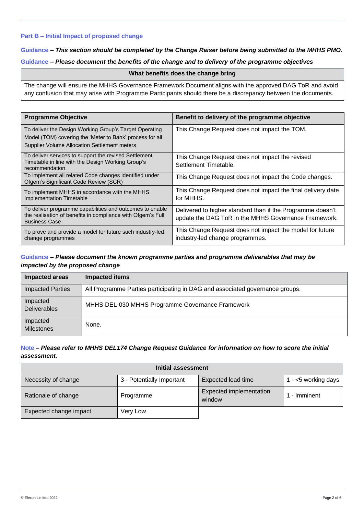# **Part B – Initial Impact of proposed change**

# **Guidance** *– This section should be completed by the Change Raiser before being submitted to the MHHS PMO.*

# **Guidance** *– Please document the benefits of the change and to delivery of the programme objectives*

#### **What benefits does the change bring**

The change will ensure the MHHS Governance Framework Document aligns with the approved DAG ToR and avoid any confusion that may arise with Programme Participants should there be a discrepancy between the documents.

| <b>Programme Objective</b>                                                                                                                                                | Benefit to delivery of the programme objective                                                                     |
|---------------------------------------------------------------------------------------------------------------------------------------------------------------------------|--------------------------------------------------------------------------------------------------------------------|
| To deliver the Design Working Group's Target Operating<br>Model (TOM) covering the 'Meter to Bank' process for all<br><b>Supplier Volume Allocation Settlement meters</b> | This Change Request does not impact the TOM.                                                                       |
| To deliver services to support the revised Settlement<br>Timetable in line with the Design Working Group's<br>recommendation                                              | This Change Request does not impact the revised<br>Settlement Timetable.                                           |
| To implement all related Code changes identified under<br>Ofgem's Significant Code Review (SCR)                                                                           | This Change Request does not impact the Code changes.                                                              |
| To implement MHHS in accordance with the MHHS<br>Implementation Timetable                                                                                                 | This Change Request does not impact the final delivery date<br>for MHHS.                                           |
| To deliver programme capabilities and outcomes to enable<br>the realisation of benefits in compliance with Ofgem's Full<br><b>Business Case</b>                           | Delivered to higher standard than if the Programme doesn't<br>update the DAG ToR in the MHHS Governance Framework. |
| To prove and provide a model for future such industry-led<br>change programmes                                                                                            | This Change Request does not impact the model for future<br>industry-led change programmes.                        |

# **Guidance** *– Please document the known programme parties and programme deliverables that may be impacted by the proposed change*

| Impacted areas                  | <b>Impacted items</b>                                                        |
|---------------------------------|------------------------------------------------------------------------------|
| <b>Impacted Parties</b>         | All Programme Parties participating in DAG and associated governance groups. |
| Impacted<br><b>Deliverables</b> | MHHS DEL-030 MHHS Programme Governance Framework                             |
| Impacted<br><b>Milestones</b>   | None.                                                                        |

# **Note** *– Please refer to MHHS DEL174 Change Request Guidance for information on how to score the initial assessment.*

| Initial assessment     |                           |                                   |                        |
|------------------------|---------------------------|-----------------------------------|------------------------|
| Necessity of change    | 3 - Potentially Important | Expected lead time                | 1 - $<$ 5 working days |
| Rationale of change    | Programme                 | Expected implementation<br>window | 1 - Imminent           |
| Expected change impact | Very Low                  |                                   |                        |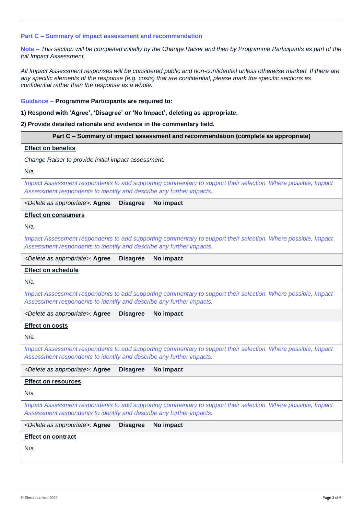#### **Part C – Summary of impact assessment and recommendation**

**Note –** *This section will be completed initially by the Change Raiser and then by Programme Participants as part of the full Impact Assessment.*

*All Impact Assessment responses will be considered public and non-confidential unless otherwise marked. If there are any specific elements of the response (e.g. costs) that are confidential, please mark the specific sections as confidential rather than the response as a whole.*

#### **Guidance – Programme Participants are required to:**

### **1) Respond with 'Agree', 'Disagree' or 'No Impact', deleting as appropriate.**

#### **2) Provide detailed rationale and evidence in the commentary field.**

| Part C - Summary of impact assessment and recommendation (complete as appropriate)                                                                                                    |
|---------------------------------------------------------------------------------------------------------------------------------------------------------------------------------------|
| <b>Effect on benefits</b>                                                                                                                                                             |
| Change Raiser to provide initial impact assessment.                                                                                                                                   |
| N/a                                                                                                                                                                                   |
| Impact Assessment respondents to add supporting commentary to support their selection. Where possible, Impact<br>Assessment respondents to identify and describe any further impacts. |
| <b>Disagree</b><br><delete appropriate="" as="">: Agree<br/>No impact</delete>                                                                                                        |
| <b>Effect on consumers</b>                                                                                                                                                            |
| N/a                                                                                                                                                                                   |
| Impact Assessment respondents to add supporting commentary to support their selection. Where possible, Impact<br>Assessment respondents to identify and describe any further impacts. |
| <delete appropriate="" as="">: Agree<br/><b>Disagree</b><br/>No impact</delete>                                                                                                       |
| <b>Effect on schedule</b>                                                                                                                                                             |
| N/a                                                                                                                                                                                   |
| Impact Assessment respondents to add supporting commentary to support their selection. Where possible, Impact<br>Assessment respondents to identify and describe any further impacts. |
| <delete appropriate="" as="">: Agree<br/><b>Disagree</b><br/>No impact</delete>                                                                                                       |
| <b>Effect on costs</b>                                                                                                                                                                |
| N/a                                                                                                                                                                                   |
| Impact Assessment respondents to add supporting commentary to support their selection. Where possible, Impact<br>Assessment respondents to identify and describe any further impacts. |
| <delete appropriate="" as="">: Agree<br/><b>Disagree</b><br/>No impact</delete>                                                                                                       |
| <b>Effect on resources</b>                                                                                                                                                            |
| N/a                                                                                                                                                                                   |
| Impact Assessment respondents to add supporting commentary to support their selection. Where possible, Impact<br>Assessment respondents to identify and describe any further impacts. |
| <delete appropriate="" as="">: Agree<br/>No impact<br/><b>Disagree</b></delete>                                                                                                       |
| <b>Effect on contract</b>                                                                                                                                                             |
| N/a                                                                                                                                                                                   |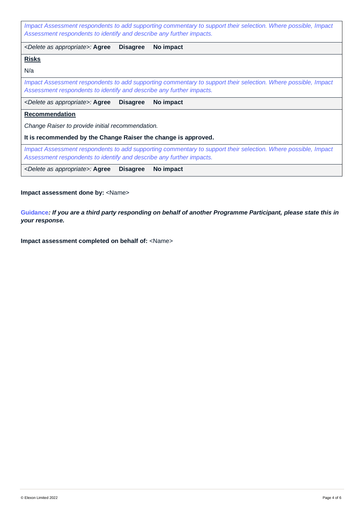*Impact Assessment respondents to add supporting commentary to support their selection. Where possible, Impact Assessment respondents to identify and describe any further impacts.*

*<Delete as appropriate>:* **Agree Disagree No impact**

# **Risks**

N/a

*Impact Assessment respondents to add supporting commentary to support their selection. Where possible, Impact Assessment respondents to identify and describe any further impacts.*

*<Delete as appropriate>:* **Agree Disagree No impact**

# **Recommendation**

*Change Raiser to provide initial recommendation.*

**It is recommended by the Change Raiser the change is approved.**

*Impact Assessment respondents to add supporting commentary to support their selection. Where possible, Impact Assessment respondents to identify and describe any further impacts.*

*<Delete as appropriate>:* **Agree Disagree No impact**

**Impact assessment done by:** <Name>

**Guidance***: If you are a third party responding on behalf of another Programme Participant, please state this in your response.* 

**Impact assessment completed on behalf of:** <Name>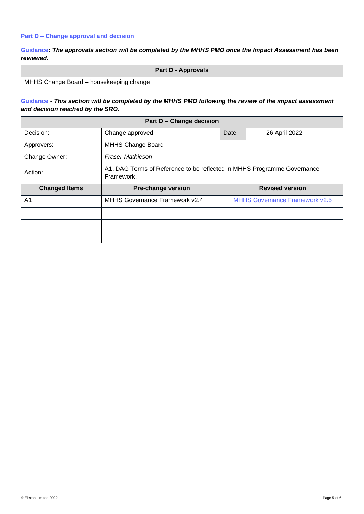# **Part D – Change approval and decision**

**Guidance***: The approvals section will be completed by the MHHS PMO once the Impact Assessment has been reviewed.*

|                                         | <b>Part D - Approvals</b> |
|-----------------------------------------|---------------------------|
| MHHS Change Board - housekeeping change |                           |

# **Guidance** - *This section will be completed by the MHHS PMO following the review of the impact assessment and decision reached by the SRO.*

| Part D - Change decision |                                                                                       |      |                                       |
|--------------------------|---------------------------------------------------------------------------------------|------|---------------------------------------|
| Decision:                | Change approved                                                                       | Date | 26 April 2022                         |
| Approvers:               | <b>MHHS Change Board</b>                                                              |      |                                       |
| Change Owner:            | <b>Fraser Mathieson</b>                                                               |      |                                       |
| Action:                  | A1. DAG Terms of Reference to be reflected in MHHS Programme Governance<br>Framework. |      |                                       |
| <b>Changed Items</b>     | <b>Pre-change version</b>                                                             |      | <b>Revised version</b>                |
| A1                       | MHHS Governance Framework v2.4                                                        |      | <b>MHHS Governance Framework v2.5</b> |
|                          |                                                                                       |      |                                       |
|                          |                                                                                       |      |                                       |
|                          |                                                                                       |      |                                       |